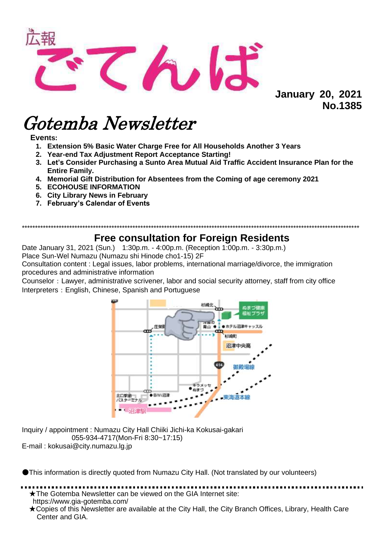

**January 20, 2021 No.1385** 

# Gotemba Newsletter

Events:

- 1. Extension 5% Basic Water Charge Free for All Households Another 3 Years
- 2. Year-end Tax Adiustment Report Acceptance Starting!
- 3. Let's Consider Purchasing a Sunto Area Mutual Aid Traffic Accident Insurance Plan for the **Entire Family.**
- 4. Memorial Gift Distribution for Absentees from the Coming of age ceremony 2021
- **5. ECOHOUSE INFORMATION**
- 6. City Library News in February
- 7. February's Calendar of Events

# **Free consultation for Foreign Residents**

Date January 31, 2021 (Sun.) 1:30p.m. - 4:00p.m. (Reception 1:00p.m. - 3:30p.m.)

Place Sun-Wel Numazu (Numazu shi Hinode cho1-15) 2F

Consultation content : Legal issues, labor problems, international marriage/divorce, the immigration procedures and administrative information

Counselor: Lawyer, administrative scrivener, labor and social security attorney, staff from city office Interpreters: English, Chinese, Spanish and Portuguese



Inquiry / appointment : Numazu City Hall Chiiki Jichi-ka Kokusai-gakari 055-934-4717(Mon-Fri 8:30~17:15) E-mail: kokusai@city.numazu.lg.jp

This information is directly quoted from Numazu City Hall. (Not translated by our volunteers)

★The Gotemba Newsletter can be viewed on the GIA Internet site: https://www.gia-gotemba.com/

★Copies of this Newsletter are available at the City Hall, the City Branch Offices, Library, Health Care Center and GIA.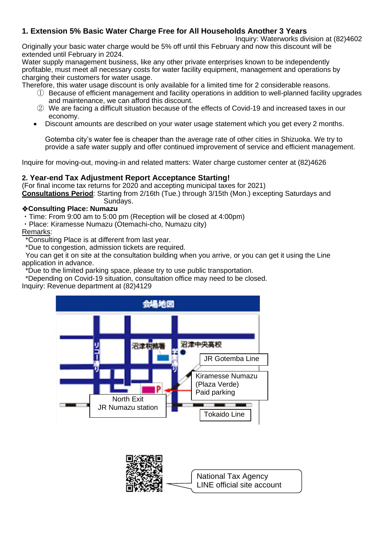## **1. Extension 5% Basic Water Charge Free for All Households Another 3 Years**

Inquiry: Waterworks division at (82)4602 Originally your basic water charge would be 5% off until this February and now this discount will be extended until February in 2024.

Water supply management business, like any other private enterprises known to be independently profitable, must meet all necessary costs for water facility equipment, management and operations by charging their customers for water usage.

Therefore, this water usage discount is only available for a limited time for 2 considerable reasons.

- ① Because of efficient management and facility operations in addition to well-planned facility upgrades and maintenance, we can afford this discount.
- ② We are facing a difficult situation because of the effects of Covid-19 and increased taxes in our economy.
- Discount amounts are described on your water usage statement which you get every 2 months.

Gotemba city's water fee is cheaper than the average rate of other cities in Shizuoka. We try to provide a safe water supply and offer continued improvement of service and efficient management.

Inquire for moving-out, moving-in and related matters: Water charge customer center at (82)4626

#### **2. Year-end Tax Adjustment Report Acceptance Starting!**

(For final income tax returns for 2020 and accepting municipal taxes for 2021)

**Consultations Period**: Starting from 2/16th (Tue.) through 3/15th (Mon.) excepting Saturdays and Sundays.

#### ❖**Consulting Place: Numazu**

・Time: From 9:00 am to 5:00 pm (Reception will be closed at 4:00pm)

・Place: Kiramesse Numazu (Otemachi-cho, Numazu city)

#### Remarks:

\*Consulting Place is at different from last year.

\*Due to congestion, admission tickets are required.

You can get it on site at the consultation building when you arrive, or you can get it using the Line application in advance.

\*Due to the limited parking space, please try to use public transportation.

\*Depending on Covid-19 situation, consultation office may need to be closed.

Inquiry: Revenue department at (82)4129



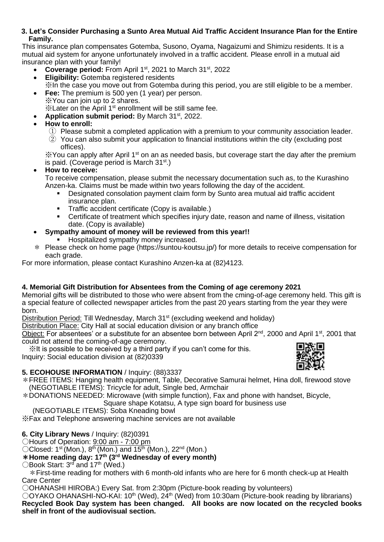#### **3. Let's Consider Purchasing a Sunto Area Mutual Aid Traffic Accident Insurance Plan for the Entire Family.**

This insurance plan compensates Gotemba, Susono, Oyama, Nagaizumi and Shimizu residents. It is a mutual aid system for anyone unfortunately involved in a traffic accident. Please enroll in a mutual aid insurance plan with your family!

- Coverage period: From April 1<sup>st</sup>, 2021 to March 31<sup>st</sup>, 2022
- **Eligibility:** Gotemba registered residents ※In the case you move out from Gotemba during this period, you are still eligible to be a member.
- **Fee:** The premium is 500 yen (1 year) per person. ※You can join up to 2 shares.
	- ※Later on the April 1st enrollment will be still same fee.
- **Application submit period:** By March 31st, 2022.
- **How to enroll:**
	- $(1)$  Please submit a completed application with a premium to your community association leader.
	- ② You can also submit your application to financial institutions within the city (excluding post offices).

 $\%$  You can apply after April 1<sup>st</sup> on an as needed basis, but coverage start the day after the premium is paid. (Coverage period is March  $31<sup>st</sup>$ .)

#### • **How to receive:**

To receive compensation, please submit the necessary documentation such as, to the Kurashino Anzen-ka. Claims must be made within two years following the day of the accident.

- Designated consolation payment claim form by Sunto area mutual aid traffic accident insurance plan.
- **•** Traffic accident certificate (Copy is available.)
- Certificate of treatment which specifies injury date, reason and name of illness, visitation date. (Copy is available)
- **Sympathy amount of money will be reviewed from this year!!**
	- Hospitalized sympathy money increased.
- \* Please check on home page (https://suntou-koutsu.jp/) for more details to receive compensation for each grade.

For more information, please contact Kurashino Anzen-ka at (82)4123.

#### **4. Memorial Gift Distribution for Absentees from the Coming of age ceremony 2021**

Memorial gifts will be distributed to those who were absent from the cming-of-age ceremony held. This gift is a special feature of collected newspaper articles from the past 20 years starting from the year they were born.

Distribution Period: Till Wednesday, March 31<sup>st</sup> (excluding weekend and holiday)

Distribution Place: City Hall at social education division or any branch office

Object: For absentees' or a substitute for an absentee born between April 2<sup>nd</sup>, 2000 and April 1<sup>st</sup>, 2001 that could not attend the coming-of-age ceremony.

 ※It is possible to be received by a third party if you can't come for this. Inquiry: Social education division at (82)0339



#### **5. ECOHOUSE INFORMATION** / Inquiry: (88)3337

\*FREE ITEMS: Hanging health equipment, Table, Decorative Samurai helmet, Hina doll, firewood stove (NEGOTIABLE ITEMS): Tricycle for adult, Single bed, Armchair

\*DONATIONS NEEDED: Microwave (with simple function), Fax and phone with handset, Bicycle,

Square shape Kotatsu, A type sign board for business use

(NEGOTIABLE ITEMS): Soba Kneading bowl

※Fax and Telephone answering machine services are not available

**6. City Library News** / Inquiry: (82)0391

〇Hours of Operation: 9:00 am - 7:00 pm

 $\bigcirc$ Closed: 1<sup>st</sup> (Mon.), 8<sup>th</sup> (Mon.) and 15<sup>th</sup> (Mon.), 22<sup>nd</sup> (Mon.)

### \***Home reading day: 17th (3rd Wednesday of every month)**

 $\bigcirc$  Book Start: 3<sup>rd</sup> and 17<sup>th</sup> (Wed.)

 \*First-time reading for mothers with 6 month-old infants who are here for 6 month check-up at Health Care Center

〇OHANASHI HIROBA:) Every Sat. from 2:30pm (Picture-book reading by volunteers)

OOYAKO OHANASHI-NO-KAI: 10<sup>th</sup> (Wed), 24<sup>th</sup> (Wed) from 10:30am (Picture-book reading by librarians) **Recycled Book Day system has been changed. All books are now located on the recycled books shelf in front of the audiovisual section.**